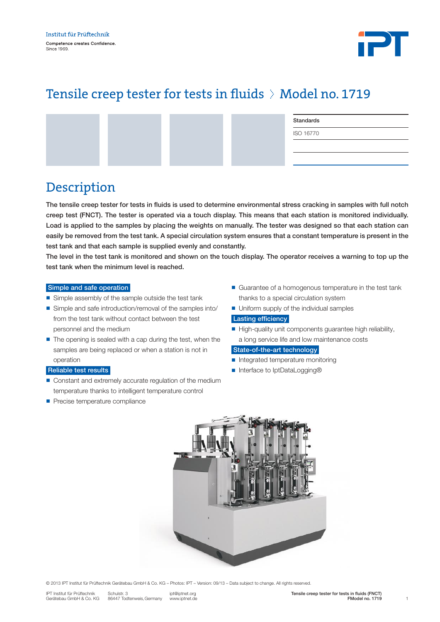

# Tensile creep tester for tests in fluids > Model no. 1719

|  | Standards |
|--|-----------|
|  | ISO 16770 |
|  |           |
|  |           |

## Description

The tensile creep tester for tests in fluids is used to determine environmental stress cracking in samples with full notch creep test (FNCT). The tester is operated via a touch display. This means that each station is monitored individually. Load is applied to the samples by placing the weights on manually. The tester was designed so that each station can easily be removed from the test tank. A special circulation system ensures that a constant temperature is present in the test tank and that each sample is supplied evenly and constantly.

The level in the test tank is monitored and shown on the touch display. The operator receives a warning to top up the test tank when the minimum level is reached.

#### Simple and safe operation

- $\blacksquare$  Simple assembly of the sample outside the test tank
- Simple and safe introduction/removal of the samples into/ from the test tank without contact between the test personnel and the medium
- $\blacksquare$  The opening is sealed with a cap during the test, when the samples are being replaced or when a station is not in operation

### Reliable test results

- Constant and extremely accurate regulation of the medium temperature thanks to intelligent temperature control
- **Precise temperature compliance**
- $\blacksquare$  Guarantee of a homogenous temperature in the test tank thanks to a special circulation system
- $\blacksquare$  Uniform supply of the individual samples

### Lasting efficiency

 $\blacksquare$  High-quality unit components quarantee high reliability, a long service life and low maintenance costs

#### State-of-the-art technology

- $\blacksquare$  Integrated temperature monitoring
- Interface to IptDataLogging®



© 2013 IPT Institut für Prüftechnik Gerätebau GmbH & Co. KG – Photos: IPT – Version: 09/13 – Data subject to change. All rights reserved.